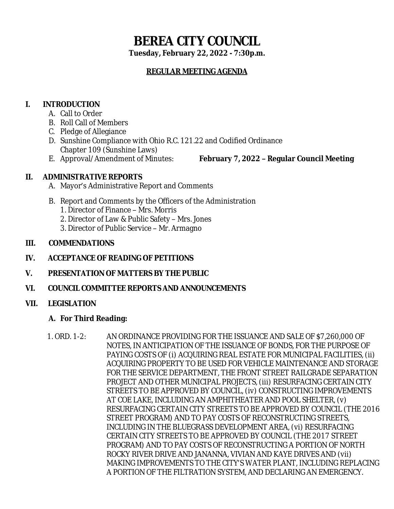# **BEREA CITY COUNCIL**

**Tuesday, February 22, 2022 - 7:30p.m.**

# **REGULAR MEETING AGENDA**

# **I. INTRODUCTION**

- A. Call to Order
- B. Roll Call of Members
- C. Pledge of Allegiance
- D. Sunshine Compliance with Ohio R.C. 121.22 and Codified Ordinance Chapter 109 (Sunshine Laws)
- 

E. Approval/Amendment of Minutes: **February 7, 2022 – Regular Council Meeting**

# **II. ADMINISTRATIVE REPORTS**

- A. Mayor's Administrative Report and Comments
- B. Report and Comments by the Officers of the Administration
	- 1. Director of Finance Mrs. Morris
	- 2. Director of Law & Public Safety Mrs. Jones
	- 3. Director of Public Service Mr. Armagno

### **III. COMMENDATIONS**

- **IV. ACCEPTANCE OF READING OF PETITIONS**
- **V. PRESENTATION OF MATTERS BY THE PUBLIC**
- **VI. COUNCIL COMMITTEE REPORTS AND ANNOUNCEMENTS**

### **VII. LEGISLATION**

### **A. For Third Reading:**

1. ORD. 1-2: AN ORDINANCE PROVIDING FOR THE ISSUANCE AND SALE OF \$7,260,000 OF NOTES, IN ANTICIPATION OF THE ISSUANCE OF BONDS, FOR THE PURPOSE OF PAYING COSTS OF (i) ACQUIRING REAL ESTATE FOR MUNICIPAL FACILITIES, (ii) ACQUIRING PROPERTY TO BE USED FOR VEHICLE MAINTENANCE AND STORAGE FOR THE SERVICE DEPARTMENT, THE FRONT STREET RAILGRADE SEPARATION PROJECT AND OTHER MUNICIPAL PROJECTS, (iii) RESURFACING CERTAIN CITY STREETS TO BE APPROVED BY COUNCIL, (iv) CONSTRUCTING IMPROVEMENTS AT COE LAKE, INCLUDING AN AMPHITHEATER AND POOL SHELTER, (v) RESURFACING CERTAIN CITY STREETS TO BE APPROVED BY COUNCIL (THE 2016 STREET PROGRAM) AND TO PAY COSTS OF RECONSTRUCTING STREETS, INCLUDING IN THE BLUEGRASS DEVELOPMENT AREA, (vi) RESURFACING CERTAIN CITY STREETS TO BE APPROVED BY COUNCIL (THE 2017 STREET PROGRAM) AND TO PAY COSTS OF RECONSTRUCTING A PORTION OF NORTH ROCKY RIVER DRIVE AND JANANNA, VIVIAN AND KAYE DRIVES AND (vii) MAKING IMPROVEMENTS TO THE CITY'S WATER PLANT, INCLUDING REPLACING A PORTION OF THE FILTRATION SYSTEM, AND DECLARING AN EMERGENCY.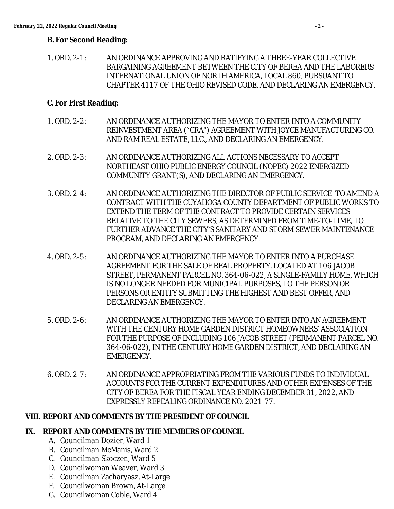#### **B. For Second Reading:**

1. ORD. 2-1: AN ORDINANCE APPROVING AND RATIFYING A THREE-YEAR COLLECTIVE BARGAINING AGREEMENT BETWEEN THE CITY OF BEREA AND THE LABORERS' INTERNATIONAL UNION OF NORTH AMERICA, LOCAL 860, PURSUANT TO CHAPTER 4117 OF THE OHIO REVISED CODE, AND DECLARING AN EMERGENCY.

#### **C. For First Reading:**

- 1. ORD. 2-2: AN ORDINANCE AUTHORIZING THE MAYOR TO ENTER INTO A COMMUNITY REINVESTMENT AREA ("CRA") AGREEMENT WITH JOYCE MANUFACTURING CO. AND RAM REAL ESTATE, LLC., AND DECLARING AN EMERGENCY.
- 2. ORD. 2-3: AN ORDINANCE AUTHORIZING ALL ACTIONS NECESSARY TO ACCEPT NORTHEAST OHIO PUBLIC ENERGY COUNCIL (NOPEC) 2022 ENERGIZED COMMUNITY GRANT(S), AND DECLARING AN EMERGENCY.
- 3. ORD. 2-4: AN ORDINANCE AUTHORIZING THE DIRECTOR OF PUBLIC SERVICE TO AMEND A CONTRACT WITH THE CUYAHOGA COUNTY DEPARTMENT OF PUBLIC WORKS TO EXTEND THE TERM OF THE CONTRACT TO PROVIDE CERTAIN SERVICES RELATIVE TO THE CITY SEWERS, AS DETERMINED FROM TIME-TO-TIME, TO FURTHER ADVANCE THE CITY'S SANITARY AND STORM SEWER MAINTENANCE PROGRAM, AND DECLARING AN EMERGENCY.
- 4. ORD. 2-5: AN ORDINANCE AUTHORIZING THE MAYOR TO ENTER INTO A PURCHASE AGREEMENT FOR THE SALE OF REAL PROPERTY, LOCATED AT 106 JACOB STREET, PERMANENT PARCEL NO. 364-06-022, A SINGLE-FAMILY HOME, WHICH IS NO LONGER NEEDED FOR MUNICIPAL PURPOSES, TO THE PERSON OR PERSONS OR ENTITY SUBMITTING THE HIGHEST AND BEST OFFER, AND DECLARING AN EMERGENCY.
- 5. ORD. 2-6: AN ORDINANCE AUTHORIZING THE MAYOR TO ENTER INTO AN AGREEMENT WITH THE CENTURY HOME GARDEN DISTRICT HOMEOWNERS' ASSOCIATION FOR THE PURPOSE OF INCLUDING 106 JACOB STREET (PERMANENT PARCEL NO. 364-06-022), IN THE CENTURY HOME GARDEN DISTRICT, AND DECLARING AN EMERGENCY.
- 6. ORD. 2-7: AN ORDINANCE APPROPRIATING FROM THE VARIOUS FUNDS TO INDIVIDUAL ACCOUNTS FOR THE CURRENT EXPENDITURES AND OTHER EXPENSES OF THE CITY OF BEREA FOR THE FISCAL YEAR ENDING DECEMBER 31, 2022, AND EXPRESSLY REPEALING ORDINANCE NO. 2021-77.

### **VIII. REPORT AND COMMENTS BY THE PRESIDENT OF COUNCIL**

#### **IX. REPORT AND COMMENTS BY THE MEMBERS OF COUNCIL**

- A. Councilman Dozier, Ward 1
- B. Councilman McManis, Ward 2
- C. Councilman Skoczen, Ward 5
- D. Councilwoman Weaver, Ward 3
- E. Councilman Zacharyasz, At-Large
- F. Councilwoman Brown, At-Large
- G. Councilwoman Coble, Ward 4